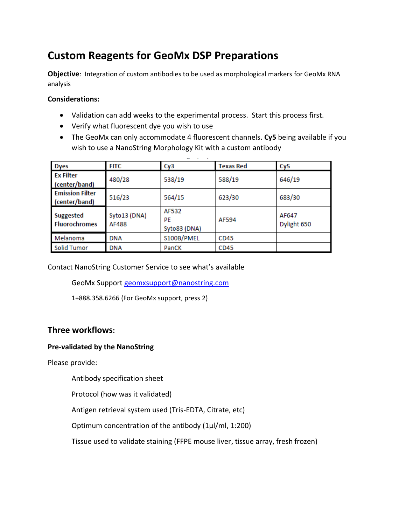# **Custom Reagents for GeoMx DSP Preparations**

**Objective**: Integration of custom antibodies to be used as morphological markers for GeoMx RNA analysis

#### **Considerations:**

- Validation can add weeks to the experimental process. Start this process first.
- Verify what fluorescent dye you wish to use
- The GeoMx can only accommodate 4 fluorescent channels. **Cy5** being available if you wish to use a NanoString Morphology Kit with a custom antibody

| <b>Dyes</b>                              | <b>FITC</b>           | Cy3                         | <b>Texas Red</b> | Cy5                  |
|------------------------------------------|-----------------------|-----------------------------|------------------|----------------------|
| <b>Ex Filter</b><br>(center/band)        | 480/28                | 538/19                      | 588/19           | 646/19               |
| <b>Emission Filter</b><br>(center/band)  | 516/23                | 564/15                      | 623/30           | 683/30               |
| <b>Suggested</b><br><b>Fluorochromes</b> | Syto13 (DNA)<br>AF488 | AF532<br>PE<br>Syto83 (DNA) | AF594            | AF647<br>Dylight 650 |
| Melanoma                                 | DNA                   | S100B/PMEL                  | CD45             |                      |
| <b>Solid Tumor</b>                       | <b>DNA</b>            | PanCK                       | CD45             |                      |

Contact NanoString Customer Service to see what's available

GeoMx Support [geomxsupport@nanostring.com](mailto:geomxsupport@nanostring.com)

1+888.358.6266 (For GeoMx support, press 2)

## **Three workflows:**

#### **Pre-validated by the NanoString**

Please provide:

Antibody specification sheet

Protocol (how was it validated)

Antigen retrieval system used (Tris-EDTA, Citrate, etc)

Optimum concentration of the antibody (1µl/ml, 1:200)

Tissue used to validate staining (FFPE mouse liver, tissue array, fresh frozen)